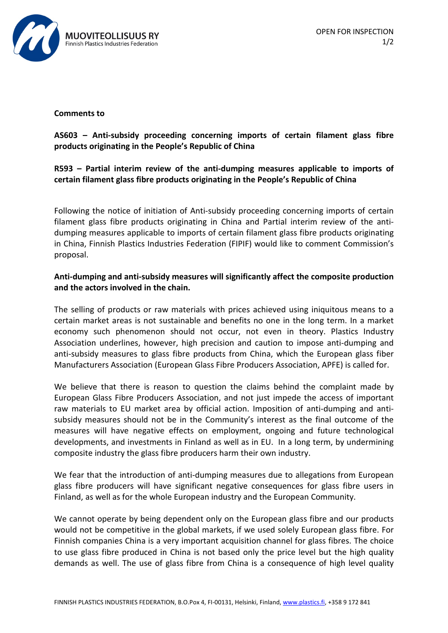

#### **Comments to**

# **AS603 – Anti-subsidy proceeding concerning imports of certain filament glass fibre products originating in the People's Republic of China**

## **R593 – Partial interim review of the anti-dumping measures applicable to imports of certain filament glass fibre products originating in the People's Republic of China**

Following the notice of initiation of Anti-subsidy proceeding concerning imports of certain filament glass fibre products originating in China and Partial interim review of the antidumping measures applicable to imports of certain filament glass fibre products originating in China, Finnish Plastics Industries Federation (FIPIF) would like to comment Commission's proposal.

### **Anti-dumping and anti-subsidy measures will significantly affect the composite production and the actors involved in the chain.**

The selling of products or raw materials with prices achieved using iniquitous means to a certain market areas is not sustainable and benefits no one in the long term. In a market economy such phenomenon should not occur, not even in theory. Plastics Industry Association underlines, however, high precision and caution to impose anti-dumping and anti-subsidy measures to glass fibre products from China, which the European glass fiber Manufacturers Association (European Glass Fibre Producers Association, APFE) is called for.

We believe that there is reason to question the claims behind the complaint made by European Glass Fibre Producers Association, and not just impede the access of important raw materials to EU market area by official action. Imposition of anti-dumping and antisubsidy measures should not be in the Community's interest as the final outcome of the measures will have negative effects on employment, ongoing and future technological developments, and investments in Finland as well as in EU. In a long term, by undermining composite industry the glass fibre producers harm their own industry.

We fear that the introduction of anti-dumping measures due to allegations from European glass fibre producers will have significant negative consequences for glass fibre users in Finland, as well as for the whole European industry and the European Community.

We cannot operate by being dependent only on the European glass fibre and our products would not be competitive in the global markets, if we used solely European glass fibre. For Finnish companies China is a very important acquisition channel for glass fibres. The choice to use glass fibre produced in China is not based only the price level but the high quality demands as well. The use of glass fibre from China is a consequence of high level quality